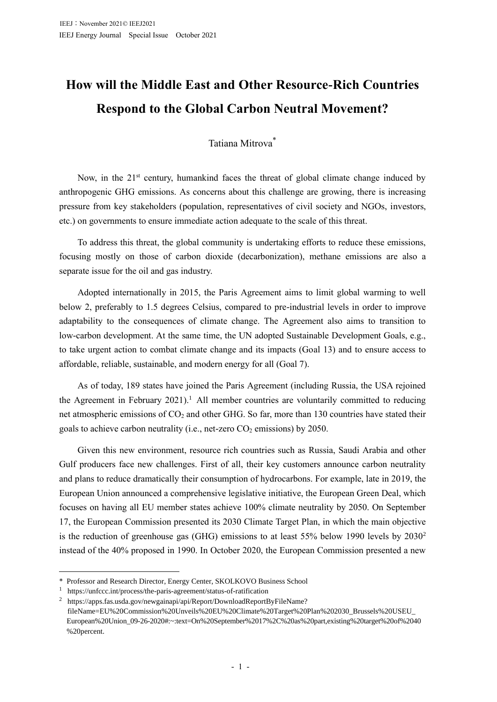## **How will the Middle East and Other Resource-Rich Countries Respond to the Global Carbon Neutral Movement?**

## Tatiana Mitrova\*

Now, in the  $21<sup>st</sup>$  century, humankind faces the threat of global climate change induced by anthropogenic GHG emissions. As concerns about this challenge are growing, there is increasing pressure from key stakeholders (population, representatives of civil society and NGOs, investors, etc.) on governments to ensure immediate action adequate to the scale of this threat.

To address this threat, the global community is undertaking efforts to reduce these emissions, focusing mostly on those of carbon dioxide (decarbonization), methane emissions are also a separate issue for the oil and gas industry.

Adopted internationally in 2015, the Paris Agreement aims to limit global warming to well below 2, preferably to 1.5 degrees Celsius, compared to pre-industrial levels in order to improve adaptability to the consequences of climate change. The Agreement also aims to transition to low-carbon development. At the same time, the UN adopted Sustainable Development Goals, e.g., to take urgent action to combat climate change and its impacts (Goal 13) and to ensure access to affordable, reliable, sustainable, and modern energy for all (Goal 7).

As of today, 189 states have joined the Paris Agreement (including Russia, the USA rejoined the Agreement in February 2021).<sup>1</sup> All member countries are voluntarily committed to reducing net atmospheric emissions of CO<sub>2</sub> and other GHG. So far, more than 130 countries have stated their goals to achieve carbon neutrality (i.e., net-zero  $CO<sub>2</sub>$  emissions) by 2050.

Given this new environment, resource rich countries such as Russia, Saudi Arabia and other Gulf producers face new challenges. First of all, their key customers announce carbon neutrality and plans to reduce dramatically their consumption of hydrocarbons. For example, late in 2019, the European Union announced a comprehensive legislative initiative, the European Green Deal, which focuses on having all EU member states achieve 100% climate neutrality by 2050. On September 17, the European Commission presented its 2030 Climate Target Plan, in which the main objective is the reduction of greenhouse gas (GHG) emissions to at least 55% below 1990 levels by 2030<sup>2</sup> instead of the 40% proposed in 1990. In October 2020, the European Commission presented a new

<sup>\*</sup> Professor and Research Director, Energy Center, SKOLKOVO Business School

<sup>1</sup> <https://unfccc.int/process/the-paris-agreement/status-of-ratification>

<sup>&</sup>lt;sup>2</sup> https://apps.fas.usda.gov/newgainapi/api/Report/DownloadReportByFileName? fileName=EU%20Commission%20Unveils%20EU%20Climate%20Target%20Plan%202030\_Brussels%20USEU\_ European%20Union\_09-26-2020#:~:text=On%20September%2017%2C%20as%20part,existing%20target%20of%2040 %20percent.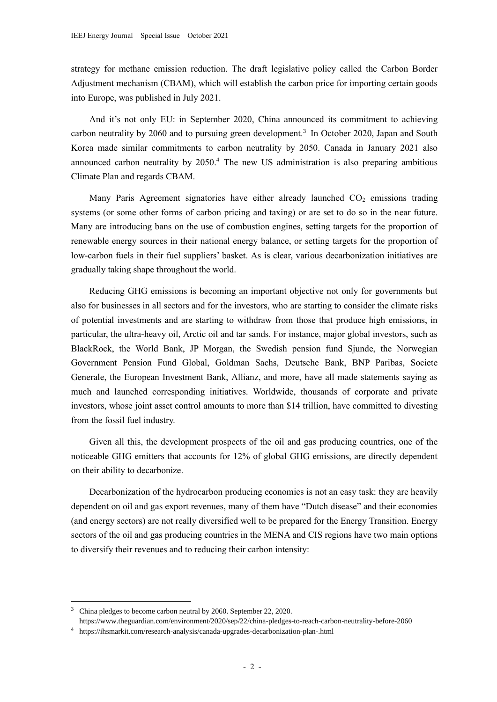strategy for methane emission reduction. The draft legislative policy called the Carbon Border Adjustment mechanism (CBAM), which will establish the carbon price for importing certain goods into Europe, was published in July 2021.

And it's not only EU: in September 2020, China announced its commitment to achieving carbon neutrality by 2060 and to pursuing green development.<sup>3</sup> In October 2020, Japan and South Korea made similar commitments to carbon neutrality by 2050. Canada in January 2021 also announced carbon neutrality by 2050.<sup>4</sup> The new US administration is also preparing ambitious Climate Plan and regards CBAM.

Many Paris Agreement signatories have either already launched  $CO<sub>2</sub>$  emissions trading systems (or some other forms of carbon pricing and taxing) or are set to do so in the near future. Many are introducing bans on the use of combustion engines, setting targets for the proportion of renewable energy sources in their national energy balance, or setting targets for the proportion of low-carbon fuels in their fuel suppliers' basket. As is clear, various decarbonization initiatives are gradually taking shape throughout the world.

Reducing GHG emissions is becoming an important objective not only for governments but also for businesses in all sectors and for the investors, who are starting to consider the climate risks of potential investments and are starting to withdraw from those that produce high emissions, in particular, the ultra-heavy oil, Arctic oil and tar sands. For instance, major global investors, such as BlackRock, the World Bank, JP Morgan, the Swedish pension fund Sjunde, the Norwegian Government Pension Fund Global, Goldman Sachs, Deutsche Bank, BNP Paribas, Societe Generale, the European Investment Bank, Allianz, and more, have all made statements saying as much and launched corresponding initiatives. Worldwide, thousands of corporate and private investors, whose joint asset control amounts to more than \$14 trillion, have committed to divesting from the fossil fuel industry.

Given all this, the development prospects of the oil and gas producing countries, one of the noticeable GHG emitters that accounts for 12% of global GHG emissions, are directly dependent on their ability to decarbonize.

Decarbonization of the hydrocarbon producing economies is not an easy task: they are heavily dependent on oil and gas export revenues, many of them have "Dutch disease" and their economies (and energy sectors) are not really diversified well to be prepared for the Energy Transition. Energy sectors of the oil and gas producing countries in the MENA and CIS regions have two main options to diversify their revenues and to reducing their carbon intensity:

<sup>&</sup>lt;sup>3</sup> China pledges to become carbon neutral by 2060. September 22, 2020.

<https://www.theguardian.com/environment/2020/sep/22/china-pledges-to-reach-carbon-neutrality-before-2060>

<sup>4</sup> https://ihsmarkit.com/research-analysis/canada-upgrades-decarbonization-plan-.html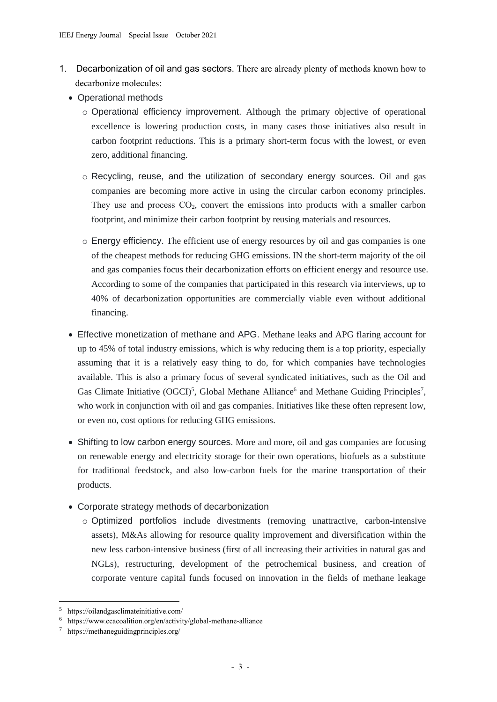- 1. Decarbonization of oil and gas sectors. There are already plenty of methods known how to decarbonize molecules:
	- Operational methods
		- o Operational efficiency improvement. Although the primary objective of operational excellence is lowering production costs, in many cases those initiatives also result in carbon footprint reductions. This is a primary short-term focus with the lowest, or even zero, additional financing.
		- o Recycling, reuse, and the utilization of secondary energy sources. Oil and gas companies are becoming more active in using the circular carbon economy principles. They use and process  $CO<sub>2</sub>$ , convert the emissions into products with a smaller carbon footprint, and minimize their carbon footprint by reusing materials and resources.
		- o Energy efficiency. The efficient use of energy resources by oil and gas companies is one of the cheapest methods for reducing GHG emissions. IN the short-term majority of the oil and gas companies focus their decarbonization efforts on efficient energy and resource use. According to some of the companies that participated in this research via interviews, up to 40% of decarbonization opportunities are commercially viable even without additional financing.
	- Effective monetization of methane and APG. Methane leaks and APG flaring account for up to 45% of total industry emissions, which is why reducing them is a top priority, especially assuming that it is a relatively easy thing to do, for which companies have technologies available. This is also a primary focus of several syndicated initiatives, such as the Oil and Gas Climate Initiative (OGCI)<sup>5</sup>, Global Methane Alliance<sup>6</sup> and Methane Guiding Principles<sup>7</sup>, who work in conjunction with oil and gas companies. Initiatives like these often represent low, or even no, cost options for reducing GHG emissions.
	- Shifting to low carbon energy sources. More and more, oil and gas companies are focusing on renewable energy and electricity storage for their own operations, biofuels as a substitute for traditional feedstock, and also low-carbon fuels for the marine transportation of their products.
	- Corporate strategy methods of decarbonization
		- o Optimized portfolios include divestments (removing unattractive, carbon-intensive assets), M&As allowing for resource quality improvement and diversification within the new less carbon-intensive business (first of all increasing their activities in natural gas and NGLs), restructuring, development of the petrochemical business, and creation of corporate venture capital funds focused on innovation in the fields of methane leakage

<sup>5</sup> https://oilandgasclimateinitiative.com/

<sup>6</sup> https://www.ccacoalition.org/en/activity/global-methane-alliance

<sup>7</sup> <https://methaneguidingprinciples.org/>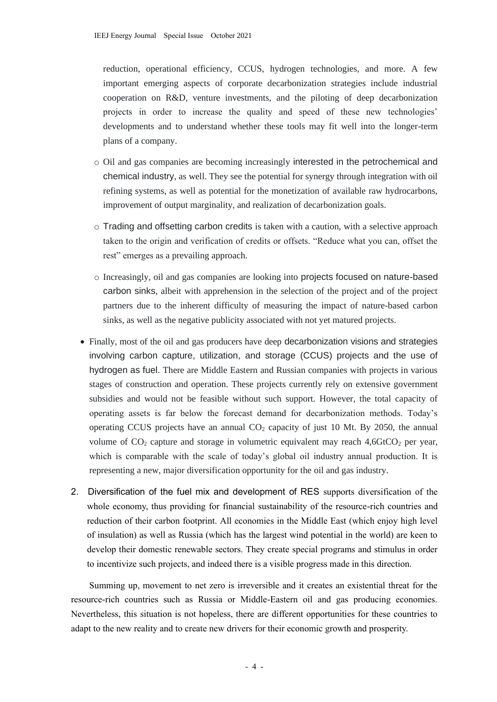reduction, operational efficiency, CCUS, hydrogen technologies, and more. A few important emerging aspects of corporate decarbonization strategies include industrial cooperation on R&D, venture investments, and the piloting of deep decarbonization projects in order to increase the quality and speed of these new technologies' developments and to understand whether these tools may fit well into the longer-term plans of a company.

- o Oil and gas companies are becoming increasingly interested in the petrochemical and chemical industry, as well. They see the potential for synergy through integration with oil refining systems, as well as potential for the monetization of available raw hydrocarbons, improvement of output marginality, and realization of decarbonization goals.
- o Trading and offsetting carbon credits is taken with a caution, with a selective approach taken to the origin and verification of credits or offsets. "Reduce what you can, offset the rest" emerges as a prevailing approach.
- o Increasingly, oil and gas companies are looking into projects focused on nature-based carbon sinks, albeit with apprehension in the selection of the project and of the project partners due to the inherent difficulty of measuring the impact of nature-based carbon sinks, as well as the negative publicity associated with not yet matured projects.
- Finally, most of the oil and gas producers have deep decarbonization visions and strategies involving carbon capture, utilization, and storage (CCUS) projects and the use of hydrogen as fuel. There are Middle Eastern and Russian companies with projects in various stages of construction and operation. These projects currently rely on extensive government subsidies and would not be feasible without such support. However, the total capacity of operating assets is far below the forecast demand for decarbonization methods. Today's operating CCUS projects have an annual  $CO<sub>2</sub>$  capacity of just 10 Mt. By 2050, the annual volume of  $CO<sub>2</sub>$  capture and storage in volumetric equivalent may reach 4,6GtCO<sub>2</sub> per year, which is comparable with the scale of today's global oil industry annual production. It is representing a new, major diversification opportunity for the oil and gas industry.
- 2. Diversification of the fuel mix and development of RES supports diversification of the whole economy, thus providing for financial sustainability of the resource-rich countries and reduction of their carbon footprint. All economies in the Middle East (which enjoy high level of insulation) as well as Russia (which has the largest wind potential in the world) are keen to develop their domestic renewable sectors. They create special programs and stimulus in order to incentivize such projects, and indeed there is a visible progress made in this direction.

Summing up, movement to net zero is irreversible and it creates an existential threat for the resource-rich countries such as Russia or Middle-Eastern oil and gas producing economies. Nevertheless, this situation is not hopeless, there are different opportunities for these countries to adapt to the new reality and to create new drivers for their economic growth and prosperity.